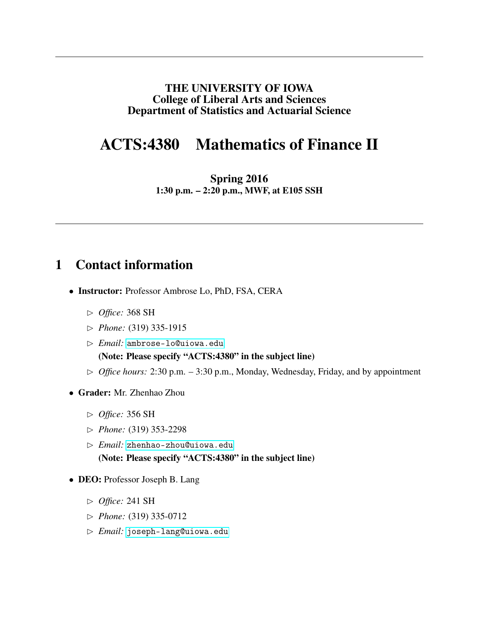#### THE UNIVERSITY OF IOWA College of Liberal Arts and Sciences Department of Statistics and Actuarial Science

## ACTS:4380 Mathematics of Finance II

Spring 2016 1:30 p.m. – 2:20 p.m., MWF, at E105 SSH

### 1 Contact information

- Instructor: Professor Ambrose Lo, PhD, FSA, CERA
	- ✄ *Office:* 368 SH
	- ✄ *Phone:* (319) 335-1915
	- ✄ *Email:* <ambrose-lo@uiowa.edu> (Note: Please specify "ACTS:4380" in the subject line)
	- $\triangleright$  *Office hours:* 2:30 p.m. 3:30 p.m., Monday, Wednesday, Friday, and by appointment
- Grader: Mr. Zhenhao Zhou
	- ✄ *Office:* 356 SH
	- ✄ *Phone:* (319) 353-2298
	- ✄ *Email:* <zhenhao-zhou@uiowa.edu> (Note: Please specify "ACTS:4380" in the subject line)
- DEO: Professor Joseph B. Lang
	- ✄ *Office:* 241 SH
	- ✄ *Phone:* (319) 335-0712
	- ✄ *Email:* <joseph-lang@uiowa.edu>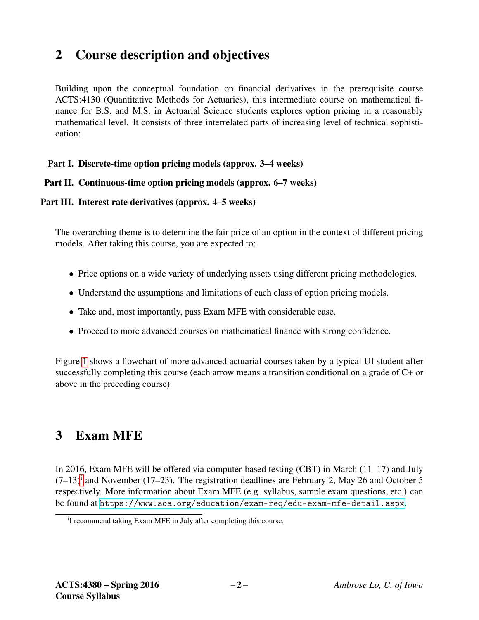## 2 Course description and objectives

Building upon the conceptual foundation on financial derivatives in the prerequisite course ACTS:4130 (Quantitative Methods for Actuaries), this intermediate course on mathematical finance for B.S. and M.S. in Actuarial Science students explores option pricing in a reasonably mathematical level. It consists of three interrelated parts of increasing level of technical sophistication:

#### Part I. Discrete-time option pricing models (approx. 3–4 weeks)

#### Part II. Continuous-time option pricing models (approx. 6–7 weeks)

#### Part III. Interest rate derivatives (approx. 4–5 weeks)

The overarching theme is to determine the fair price of an option in the context of different pricing models. After taking this course, you are expected to:

- Price options on a wide variety of underlying assets using different pricing methodologies.
- Understand the assumptions and limitations of each class of option pricing models.
- Take and, most importantly, pass Exam MFE with considerable ease.
- Proceed to more advanced courses on mathematical finance with strong confidence.

Figure [1](#page-2-0) shows a flowchart of more advanced actuarial courses taken by a typical UI student after successfully completing this course (each arrow means a transition conditional on a grade of C+ or above in the preceding course).

### 3 Exam MFE

In 2016, Exam MFE will be offered via computer-based testing (CBT) in March (11–17) and July  $(7-13)^{i}$  $(7-13)^{i}$  $(7-13)^{i}$  and November (17–23). The registration deadlines are February 2, May 26 and October 5 respectively. More information about Exam MFE (e.g. syllabus, sample exam questions, etc.) can be found at <https://www.soa.org/education/exam-req/edu-exam-mfe-detail.aspx>.

<span id="page-1-0"></span><sup>&</sup>lt;sup>i</sup>I recommend taking Exam MFE in July after completing this course.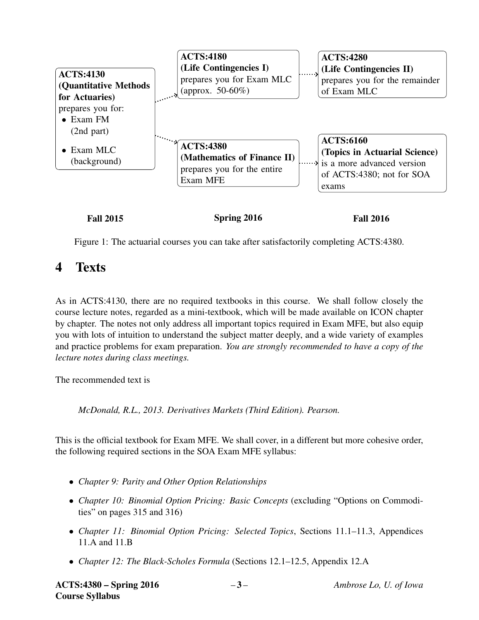

<span id="page-2-0"></span>Figure 1: The actuarial courses you can take after satisfactorily completing ACTS:4380.

### 4 Texts

As in ACTS:4130, there are no required textbooks in this course. We shall follow closely the course lecture notes, regarded as a mini-textbook, which will be made available on ICON chapter by chapter. The notes not only address all important topics required in Exam MFE, but also equip you with lots of intuition to understand the subject matter deeply, and a wide variety of examples and practice problems for exam preparation. *You are strongly recommended to have a copy of the lecture notes during class meetings.*

The recommended text is

*McDonald, R.L., 2013. Derivatives Markets (Third Edition). Pearson.*

This is the official textbook for Exam MFE. We shall cover, in a different but more cohesive order, the following required sections in the SOA Exam MFE syllabus:

- *Chapter 9: Parity and Other Option Relationships*
- *Chapter 10: Binomial Option Pricing: Basic Concepts* (excluding "Options on Commodities" on pages 315 and 316)
- *Chapter 11: Binomial Option Pricing: Selected Topics*, Sections 11.1–11.3, Appendices 11.A and 11.B
- *Chapter 12: The Black-Scholes Formula* (Sections 12.1–12.5, Appendix 12.A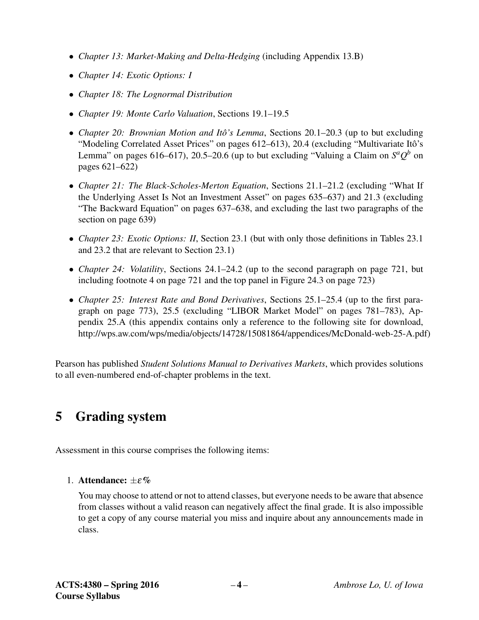- *Chapter 13: Market-Making and Delta-Hedging* (including Appendix 13.B)
- *Chapter 14: Exotic Options: I*
- *Chapter 18: The Lognormal Distribution*
- *Chapter 19: Monte Carlo Valuation*, Sections 19.1–19.5
- *Chapter 20: Brownian Motion and Itô's Lemma*, Sections 20.1–20.3 (up to but excluding "Modeling Correlated Asset Prices" on pages 612–613), 20.4 (excluding "Multivariate Itô's Lemma" on pages 616–617), 20.5–20.6 (up to but excluding "Valuing a Claim on  $S^a Q^b$  on pages 621–622)
- *Chapter 21: The Black-Scholes-Merton Equation*, Sections 21.1–21.2 (excluding "What If the Underlying Asset Is Not an Investment Asset" on pages 635–637) and 21.3 (excluding "The Backward Equation" on pages 637–638, and excluding the last two paragraphs of the section on page 639)
- *Chapter 23: Exotic Options: II*, Section 23.1 (but with only those definitions in Tables 23.1 and 23.2 that are relevant to Section 23.1)
- *Chapter 24: Volatility*, Sections 24.1–24.2 (up to the second paragraph on page 721, but including footnote 4 on page 721 and the top panel in Figure 24.3 on page 723)
- *Chapter 25: Interest Rate and Bond Derivatives*, Sections 25.1–25.4 (up to the first paragraph on page 773), 25.5 (excluding "LIBOR Market Model" on pages 781–783), Appendix 25.A (this appendix contains only a reference to the following site for download, http://wps.aw.com/wps/media/objects/14728/15081864/appendices/McDonald-web-25-A.pdf)

Pearson has published *Student Solutions Manual to Derivatives Markets*, which provides solutions to all even-numbered end-of-chapter problems in the text.

## 5 Grading system

Assessment in this course comprises the following items:

1. Attendance:  $+\varepsilon\%$ 

You may choose to attend or not to attend classes, but everyone needs to be aware that absence from classes without a valid reason can negatively affect the final grade. It is also impossible to get a copy of any course material you miss and inquire about any announcements made in class.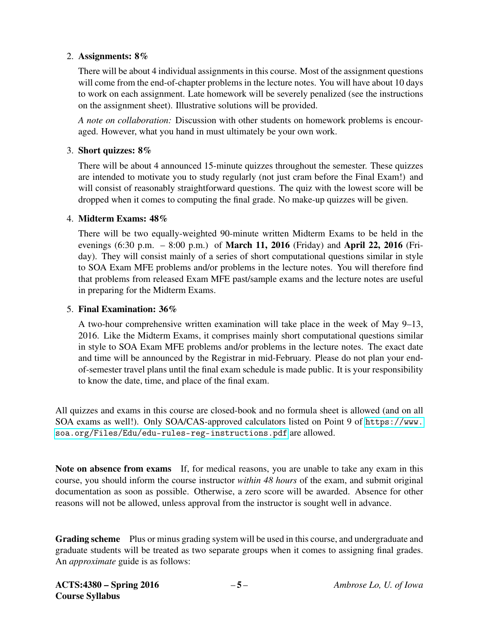#### 2. Assignments: 8%

There will be about 4 individual assignments in this course. Most of the assignment questions will come from the end-of-chapter problems in the lecture notes. You will have about 10 days to work on each assignment. Late homework will be severely penalized (see the instructions on the assignment sheet). Illustrative solutions will be provided.

*A note on collaboration:* Discussion with other students on homework problems is encouraged. However, what you hand in must ultimately be your own work.

#### 3. Short quizzes: 8%

There will be about 4 announced 15-minute quizzes throughout the semester. These quizzes are intended to motivate you to study regularly (not just cram before the Final Exam!) and will consist of reasonably straightforward questions. The quiz with the lowest score will be dropped when it comes to computing the final grade. No make-up quizzes will be given.

#### 4. Midterm Exams: 48%

There will be two equally-weighted 90-minute written Midterm Exams to be held in the evenings (6:30 p.m. – 8:00 p.m.) of March 11, 2016 (Friday) and April 22, 2016 (Friday). They will consist mainly of a series of short computational questions similar in style to SOA Exam MFE problems and/or problems in the lecture notes. You will therefore find that problems from released Exam MFE past/sample exams and the lecture notes are useful in preparing for the Midterm Exams.

#### 5. Final Examination: 36%

A two-hour comprehensive written examination will take place in the week of May 9–13, 2016. Like the Midterm Exams, it comprises mainly short computational questions similar in style to SOA Exam MFE problems and/or problems in the lecture notes. The exact date and time will be announced by the Registrar in mid-February. Please do not plan your endof-semester travel plans until the final exam schedule is made public. It is your responsibility to know the date, time, and place of the final exam.

All quizzes and exams in this course are closed-book and no formula sheet is allowed (and on all SOA exams as well!). Only SOA/CAS-approved calculators listed on Point 9 of [https://www.](https://www.soa.org/Files/Edu/edu-rules-reg-instructions.pdf) [soa.org/Files/Edu/edu-rules-reg-instructions.pdf](https://www.soa.org/Files/Edu/edu-rules-reg-instructions.pdf) are allowed.

Note on absence from exams If, for medical reasons, you are unable to take any exam in this course, you should inform the course instructor *within 48 hours* of the exam, and submit original documentation as soon as possible. Otherwise, a zero score will be awarded. Absence for other reasons will not be allowed, unless approval from the instructor is sought well in advance.

Grading scheme Plus or minus grading system will be used in this course, and undergraduate and graduate students will be treated as two separate groups when it comes to assigning final grades. An *approximate* guide is as follows: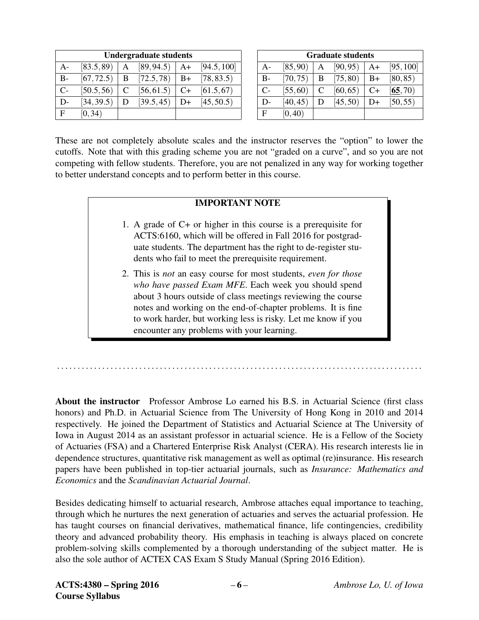| <b>Undergraduate students</b> |            |   |            |      |             |  |  |  |
|-------------------------------|------------|---|------------|------|-------------|--|--|--|
| А-                            | [83.5, 89] | А | [89, 94.5] | $A+$ | [94.5, 100] |  |  |  |
| B-                            | [67, 72.5) | B | [72.5, 78] | $B+$ | [78, 83.5)  |  |  |  |
| $\mathsf{C}\mathsf{-}$        | [50.5, 56] |   | [56, 61.5) | $C+$ | [61.5, 67)  |  |  |  |
| D-                            | [34, 39.5] | D | [39.5, 45) | D+   | [45, 50.5]  |  |  |  |
| F                             | [0, 34)    |   |            |      |             |  |  |  |

| <b>Graduate students</b> |          |   |          |      |           |  |  |  |
|--------------------------|----------|---|----------|------|-----------|--|--|--|
| $A-$                     | [85, 90) | А | [90, 95) | A+   | [95, 100] |  |  |  |
| $B-$                     | [70, 75) | B | [75, 80) | $B+$ | [80, 85)  |  |  |  |
| $C-$                     | [55, 60) | C | [60, 65) | $C+$ | [65, 70)  |  |  |  |
| D-                       | [40, 45) | Ð | [45, 50) | D+   | [50, 55)  |  |  |  |
| F                        | [0, 40)  |   |          |      |           |  |  |  |

These are not completely absolute scales and the instructor reserves the "option" to lower the cutoffs. Note that with this grading scheme you are not "graded on a curve", and so you are not competing with fellow students. Therefore, you are not penalized in any way for working together to better understand concepts and to perform better in this course.

#### IMPORTANT NOTE

- 1. A grade of C+ or higher in this course is a prerequisite for ACTS:6160, which will be offered in Fall 2016 for postgraduate students. The department has the right to de-register students who fail to meet the prerequisite requirement.
- 2. This is *not* an easy course for most students, *even for those who have passed Exam MFE*. Each week you should spend about 3 hours outside of class meetings reviewing the course notes and working on the end-of-chapter problems. It is fine to work harder, but working less is risky. Let me know if you encounter any problems with your learning.

About the instructor Professor Ambrose Lo earned his B.S. in Actuarial Science (first class honors) and Ph.D. in Actuarial Science from The University of Hong Kong in 2010 and 2014 respectively. He joined the Department of Statistics and Actuarial Science at The University of Iowa in August 2014 as an assistant professor in actuarial science. He is a Fellow of the Society of Actuaries (FSA) and a Chartered Enterprise Risk Analyst (CERA). His research interests lie in dependence structures, quantitative risk management as well as optimal (re)insurance. His research papers have been published in top-tier actuarial journals, such as *Insurance: Mathematics and Economics* and the *Scandinavian Actuarial Journal*.

. . . . . . . . . . . . . . . . . . . . . . . . . . . . . . . . . . . . . . . . . . . . . . . . . . . . . . . . . . . . . . . . . . . . . . . . . . . . . . . . . . . . . . . . .

Besides dedicating himself to actuarial research, Ambrose attaches equal importance to teaching, through which he nurtures the next generation of actuaries and serves the actuarial profession. He has taught courses on financial derivatives, mathematical finance, life contingencies, credibility theory and advanced probability theory. His emphasis in teaching is always placed on concrete problem-solving skills complemented by a thorough understanding of the subject matter. He is also the sole author of ACTEX CAS Exam S Study Manual (Spring 2016 Edition).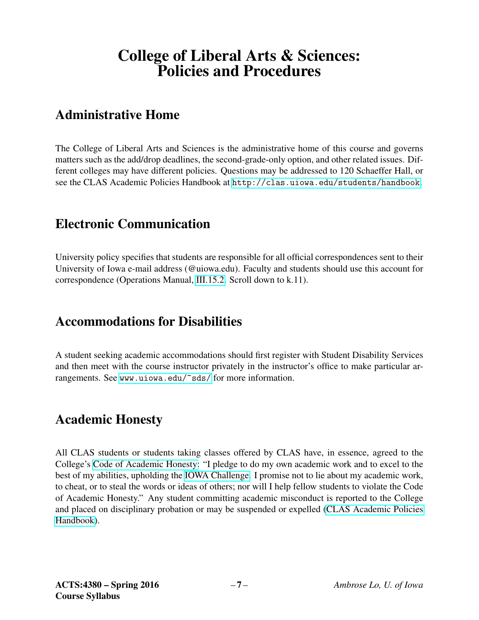# College of Liberal Arts & Sciences: Policies and Procedures

## Administrative Home

The College of Liberal Arts and Sciences is the administrative home of this course and governs matters such as the add/drop deadlines, the second-grade-only option, and other related issues. Different colleges may have different policies. Questions may be addressed to 120 Schaeffer Hall, or see the CLAS Academic Policies Handbook at <http://clas.uiowa.edu/students/handbook>.

### Electronic Communication

University policy specifies that students are responsible for all official correspondences sent to their University of Iowa e-mail address (@uiowa.edu). Faculty and students should use this account for correspondence (Operations Manual, [III.15.2.](http://www.uiowa.edu/~our/opmanual/iii/15.htm#152) Scroll down to k.11).

### Accommodations for Disabilities

A student seeking academic accommodations should first register with Student Disability Services and then meet with the course instructor privately in the instructor's office to make particular arrangements. See <www.uiowa.edu/~sds/> for more information.

## Academic Honesty

All CLAS students or students taking classes offered by CLAS have, in essence, agreed to the College's [Code of Academic Honesty:](http://clas.uiowa.edu/students/handbook/academic-fraud-honor-code) "I pledge to do my own academic work and to excel to the best of my abilities, upholding the [IOWA Challenge.](http://thechallenge.uiowa.edu/) I promise not to lie about my academic work, to cheat, or to steal the words or ideas of others; nor will I help fellow students to violate the Code of Academic Honesty." Any student committing academic misconduct is reported to the College and placed on disciplinary probation or may be suspended or expelled [\(CLAS Academic Policies](http://clas.uiowa.edu/students/handbook) [Handbook\)](http://clas.uiowa.edu/students/handbook).